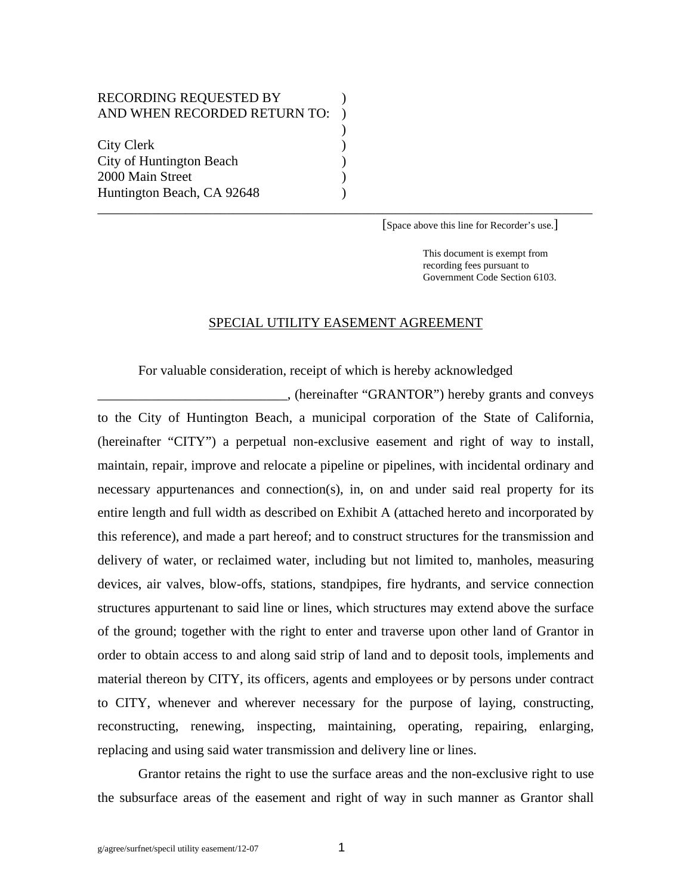## RECORDING REQUESTED BY ) AND WHEN RECORDED RETURN TO:  $)$ City Clerk (1988) City of Huntington Beach ) 2000 Main Street (1988) Huntington Beach, CA 92648 )

[Space above this line for Recorder's use.]

 This document is exempt from recording fees pursuant to Government Code Section 6103.

## SPECIAL UTILITY EASEMENT AGREEMENT

\_\_\_\_\_\_\_\_\_\_\_\_\_\_\_\_\_\_\_\_\_\_\_\_\_\_\_\_\_\_\_\_\_\_\_\_\_\_\_\_\_\_\_\_\_\_\_\_\_\_\_\_\_\_\_\_\_\_\_\_\_\_\_\_\_\_\_\_\_\_\_\_\_

For valuable consideration, receipt of which is hereby acknowledged

\_\_\_\_\_\_\_\_\_\_\_\_\_\_\_\_\_\_\_\_\_\_\_\_\_\_\_\_, (hereinafter "GRANTOR") hereby grants and conveys to the City of Huntington Beach, a municipal corporation of the State of California, (hereinafter "CITY") a perpetual non-exclusive easement and right of way to install, maintain, repair, improve and relocate a pipeline or pipelines, with incidental ordinary and necessary appurtenances and connection(s), in, on and under said real property for its entire length and full width as described on Exhibit A (attached hereto and incorporated by this reference), and made a part hereof; and to construct structures for the transmission and delivery of water, or reclaimed water, including but not limited to, manholes, measuring devices, air valves, blow-offs, stations, standpipes, fire hydrants, and service connection structures appurtenant to said line or lines, which structures may extend above the surface of the ground; together with the right to enter and traverse upon other land of Grantor in order to obtain access to and along said strip of land and to deposit tools, implements and material thereon by CITY, its officers, agents and employees or by persons under contract to CITY, whenever and wherever necessary for the purpose of laying, constructing, reconstructing, renewing, inspecting, maintaining, operating, repairing, enlarging, replacing and using said water transmission and delivery line or lines.

 Grantor retains the right to use the surface areas and the non-exclusive right to use the subsurface areas of the easement and right of way in such manner as Grantor shall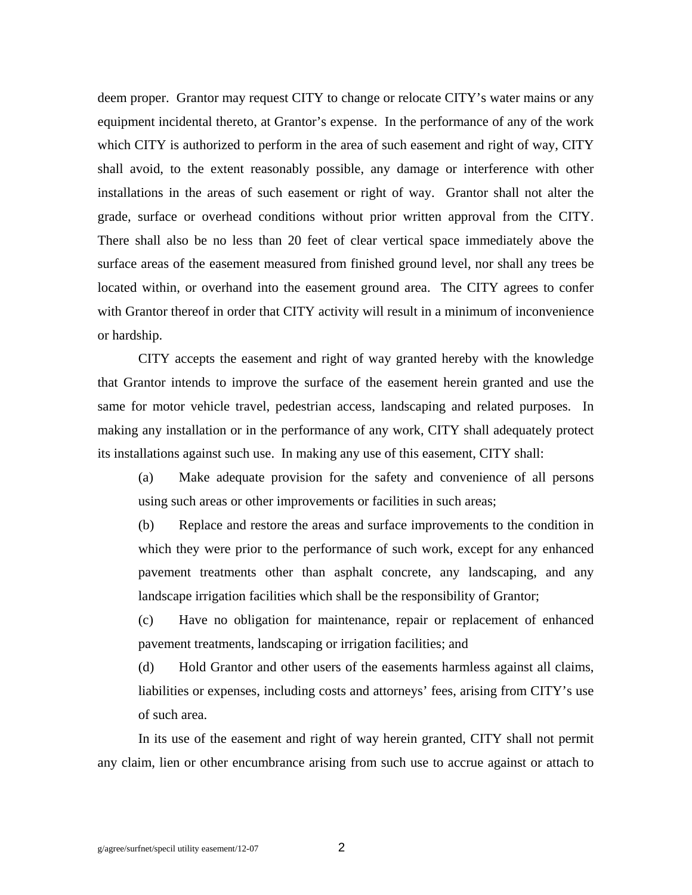deem proper. Grantor may request CITY to change or relocate CITY's water mains or any equipment incidental thereto, at Grantor's expense. In the performance of any of the work which CITY is authorized to perform in the area of such easement and right of way, CITY shall avoid, to the extent reasonably possible, any damage or interference with other installations in the areas of such easement or right of way. Grantor shall not alter the grade, surface or overhead conditions without prior written approval from the CITY. There shall also be no less than 20 feet of clear vertical space immediately above the surface areas of the easement measured from finished ground level, nor shall any trees be located within, or overhand into the easement ground area. The CITY agrees to confer with Grantor thereof in order that CITY activity will result in a minimum of inconvenience or hardship.

 CITY accepts the easement and right of way granted hereby with the knowledge that Grantor intends to improve the surface of the easement herein granted and use the same for motor vehicle travel, pedestrian access, landscaping and related purposes. In making any installation or in the performance of any work, CITY shall adequately protect its installations against such use. In making any use of this easement, CITY shall:

 (a) Make adequate provision for the safety and convenience of all persons using such areas or other improvements or facilities in such areas;

 (b) Replace and restore the areas and surface improvements to the condition in which they were prior to the performance of such work, except for any enhanced pavement treatments other than asphalt concrete, any landscaping, and any landscape irrigation facilities which shall be the responsibility of Grantor;

 (c) Have no obligation for maintenance, repair or replacement of enhanced pavement treatments, landscaping or irrigation facilities; and

 (d) Hold Grantor and other users of the easements harmless against all claims, liabilities or expenses, including costs and attorneys' fees, arising from CITY's use of such area.

 In its use of the easement and right of way herein granted, CITY shall not permit any claim, lien or other encumbrance arising from such use to accrue against or attach to